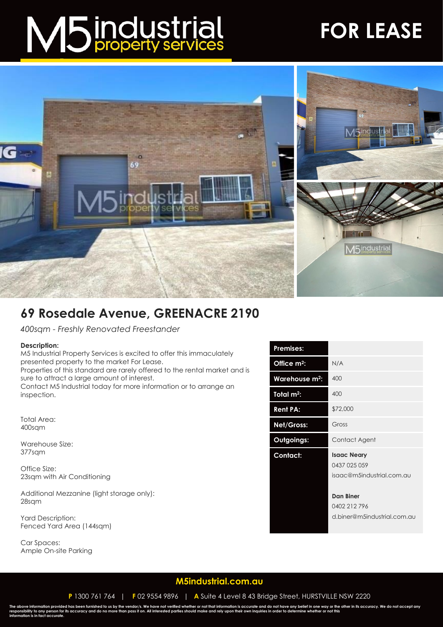# M5 industrial

## **FOR LEASE**



### **69 Rosedale Avenue, GREENACRE 2190**

*400sqm - Freshly Renovated Freestander*

#### **Description:**

M5 Industrial Property Services is excited to offer this immaculately presented property to the market For Lease.

Properties of this standard are rarely offered to the rental market and is sure to attract a large amount of interest.

Contact M5 Industrial today for more information or to arrange an inspection.

Total Area: 400sqm

Warehouse Size: 377sqm

Office Size: 23sqm with Air Conditioning

Additional Mezzanine (light storage only): 28sqm

Yard Description: Fenced Yard Area (144sqm)

Car Spaces: Ample On-site Parking

| <b>Premises:</b>           |                                                                 |
|----------------------------|-----------------------------------------------------------------|
| Office m <sup>2</sup> :    | N/A                                                             |
| Warehouse m <sup>2</sup> : | 400                                                             |
| Total $m^2$ :              | 400                                                             |
| <b>Rent PA:</b>            | \$72,000                                                        |
| Net/Gross:                 | Gross                                                           |
| <b>Outgoings:</b>          | Contact Agent                                                   |
| Contact:                   | <b>Isaac Neary</b><br>0437 025 059<br>isaac@m5industrial.com.au |
|                            | Dan Biner<br>0402 212 796<br>d.biner@m5industrial.com.au        |

#### **[M5industrial.com.au](http://www.m5industrial.com.au/)**

**P** 1300 761 764 | **F** 02 9554 9896 | **A** Suite 4 Level 8 43 Bridge Street, HURSTVILLE NSW 2220

The above information provided has been furnished to us by the vendor/s. We have not verified whether or not that information is accurate and do not have any belief in one way or the other in its accuracy. We do not accept **information is in fact accurate.**